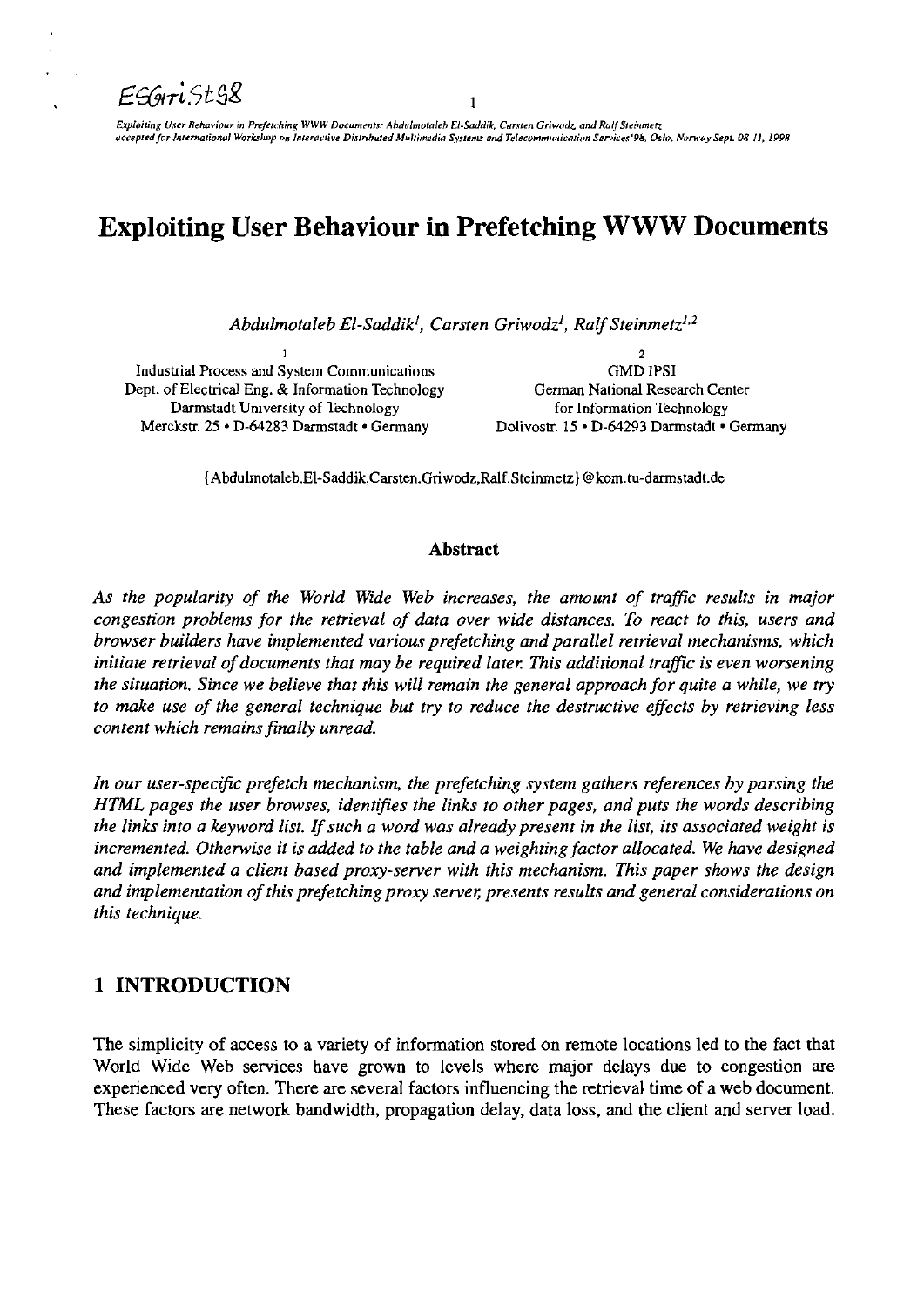$\mathbf{1}$ 

Exploiting User Behaviour in Prefetching WWW Documents: Abdulmotaleh El-Saddik, Carsten Griwodz, and Rulf Steinmetz uccepted for International Workslup on Interactive Distributed Multimedia Systems and Telecommunication Services 98, Oslo. Norway Sept. 08-11, 1998

# **Exploiting User Behaviour in Prefetching WWW Documents**

Abdulmotaleb El-Saddik<sup>1</sup>, Carsten Griwodz<sup>1</sup>, Ralf Steinmetz<sup>1,2</sup>

Industrial Process and System Communications<br>
Vept. of Electrical Eng. & Information Technology German National Research Center Dept. of Electrical Eng. & Information Technology Darmstadt University of Technology for Information Technology Merckstr. 25 · D-64283 Darmstadt · Germany Dolivostr. 15 · D-64293 Darmstadt · Germany

**<sup>1</sup>2** 

{Abdulmotaleb.El-Saddik,Carsten.Griwodz,Ralf.Steinmetz}@kom.tu-darmstadt.de

#### **Abstract**

*As the popularity of the World Wide Web increases, the amount of traffic results in major congestion problems for the retrieval of data over wide distances. To react to this, users and browser builders have implemented various prefetching and parallel retrieval mechanisms, which initiate retrieval of documents that may be required Inter: This additional traffic is even worsening the situation. Since we believe that this will remain the general approach for quite a while, we try to make use of the general technique but try to reduce the destructive effects by retrieving less content which remains finally unread.* 

*In our user-specific prefetch mechanism, the prefetching System gathers references by parsing the HTML pages the user browses, identifies the links to other pages, und puts the words describing the links into a keyword list. If such a word was already present in the list, its associated weight is incremented. Othenvise it is added to the table and a weighting factor allocated. We have designed and implemented a client based proxy-server with this mechanism. This paper shows the design and implementation of this prefetching proxy server; presents results und general considerations on this technique.* 

## **1 INTRODUCTION**

The simplicity of access to a variety of information stored on remote locations led to the fact that World Wide Web services have grown to levels where major delays due to congestion are expenenced very often. There are several factors influencing the retrieval time of a web document. These factors are network bandwidth, propagation delay, data loss, and the client and server load.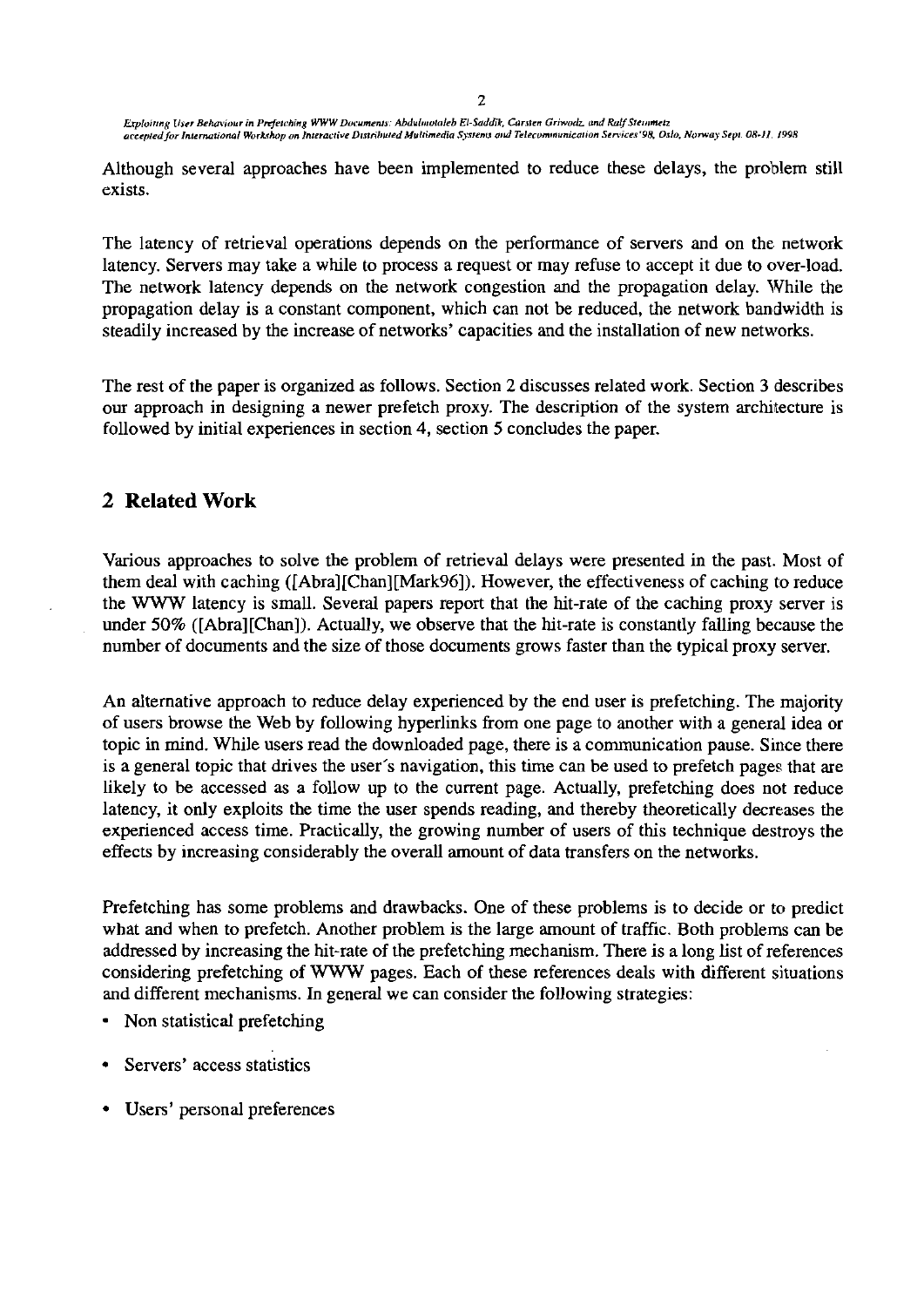$Explointing User Behavior in Prefetching WWW Development: Abdulmotale 5L-Saddik, Carsten Griwodz, and Ralf Stenmetz$ **ocrrprd/or Intrrnotionol Wotkqho(> on Intrrociiw Dirttibured Multimedia Syrrnir aid Telecom~ninica~ion Sln,;~rr'98. 0510. N<imo). Seyl 0.8-11 199R** 

Although several approaches have been implemented to reduce these delays, the problem still exists.

The latency of retrieval operations depends on the performance of Servers and on the network latency. Servers may take a while to process a request or may refuse to accept it due to over-load. The network latency depends on the network congestion and the propagation delay. While the propagation delay is a constant component, which can not be reduced, the network bandwidth is steadily increased by the increase of networks' capacities and the installation of new networks.

The rest of the paper is organized as follows. Section 2 discusses related work. Section 3 describes our approach in designing a newer prefetch proxy. The description of the system architecture is followed by initial experiences in section 4, section 5 concludes the paper.

## **2 Related Work**

Various approaches to solve the problem of retneval delays were presented in the past. Most of them deal with caching  $([Abra][Chan][Mark96])$ . However, the effectiveness of caching to reduce the WWW latency is small. Several papers report that the hit-rate of the caching proxy server is under 50% ([Abra][Chan]). Actually, we observe that the hit-rate is constantly falling because the number of documents and the size of those documents grows faster than the typical proxy server.

An alternative approach to reduce delay experienced by the end user is prefetching. The majority of users browse the Web by following hyperlinks from one page to another with a general idea or topic in mind. While users read the downloaded page, there is a communication pause. Since there is a general topic that drives the user's navigation, this time can be used to prefetch pages that are. likely to be accessed as a follow up to the current page. Actually, prefetching does not reduce latency, it only exploits the time the user spends reading, and thereby theoretically decreases the experienced access time. Practically, the growing nurnber of users of this technique destroys the effects by increasing considerably the overall amount of data transfers on the networks.

Prefetching has some problems and drawbacks. One of these problems is to decide or to predict what and when to prefetch. Another problem is the large amount of traffic. Both problems can be addressed by increasing the hit-rate of the prefetching mechanism. There is a long list of references considering prefetching of WWW pages. Each of these references deals with different situations and different mechanisms. In general we can consider the following strategies:

- Non statistical prefetching
- Servers' access statistics
- Users' personal preferences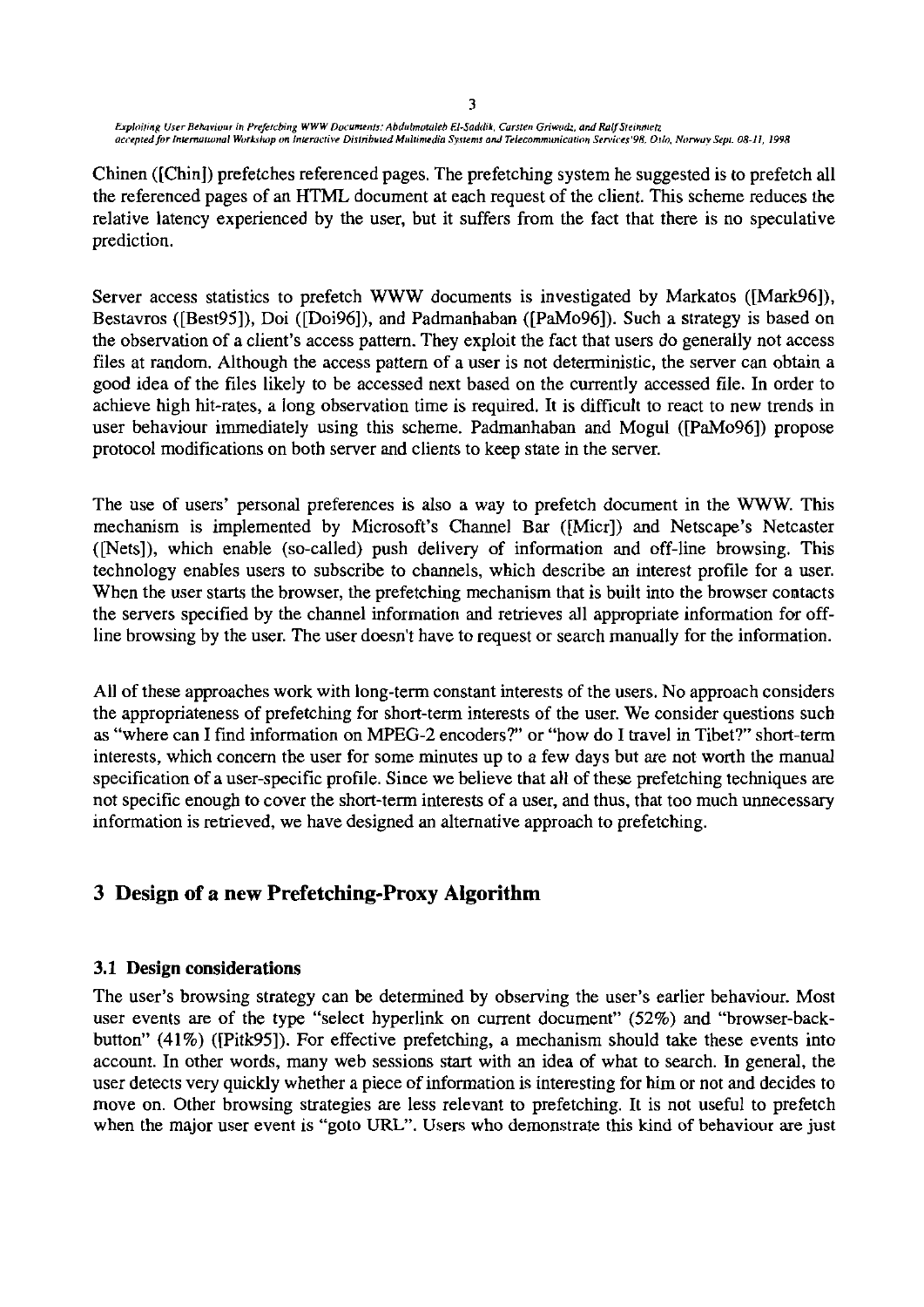Chinen ([Chin]) prefetches referenced pages. The prefetching system he suggested is to prefetch all the referenced pages of an HTML document at each request of the client. This scheme reduces the relative latency expenenced by the user, but it suffers from the fact that there is no speculative prediction.

Server access statistics to prefetch WWW documents is investigated by Markatos ([Mark96]), Bestavros ([Best95]), Doi ([Doi96]), and Padmanhaban ([PaMo96]). Such a strategy is based on the observation of a client's access pattem. They exploit the fact that users do generally not access files at random. Although the access pattern of a user is not deterministic, the server can obtain a good idea of the files likely to be accessed next based on the currently accessed file. In order to achieve high hit-rates, a long observation time is required. It is difficult to react to new trends in user behaviour immediately using this scheme. Padmanhaban and Mogul ([PaMo96]) propose protocol modifications on both server and clients to keep state in the server.

The use of users' personal preferences is also a way to prefetch document in the **WWW.** This mechanism is implemented by Microsoft's Channel Bar ([Micr]) and Netscape's Netcaster ([Nets]), which enable (so-called) push delivery of information and off-line browsing. This technology enables users to subscribe to channels, which describe an interest profile for a user. When the user starts the browser, the prefetching mechanism that is built into the browser contacts the Servers specified by the channel information and retrieves all appropriate information for offline browsing by the user. The user doesn't have to request or search manually for the information.

All of these approaches work with long-term constant interests of the users. No approach considers the appropriateness of prefetching for short-term interests of the user. We consider questions such as "where can I find information on MPEG-2 encoders?" or "how do I travel in Tibet?" short-term interests, which concem the user for some minutes up to a few days but are not worth the manual specification of a user-specific profile. Since we believe that all of these prefetching techniques are not specific enough to cover the short-term interests of a user, and thus, that too much unnecessary information is retrieved, we have designed an alternative approach to prefetching.

## **3 Design of a new Prefetching-Proxy Algorithm**

#### **3.1** Design considerations

The user's browsing strategy can be determined by observing the user's earlier behaviour. Most user events are of the type "select hyperlink on current document" (52%) and "browser-backbutton" (41%) ([Pitk95]). For effective prefetching, a mechanism should take these events into account. In other words, many web sessions start with an idea of what to search. In general, the user detects very quickly whether a piece of information is interesting for him or not and decides to move On. Other browsing strategies are less relevant to prefetching. It is not useful to prefetch when the major user event is "goto URL". Users who demonstrate this kind of behaviour are just

Exploiting User Behaviour in Prefetching WWW Documents: Abdulmotaleb El-Saddik, Carsten Griwodz, and Ralf Steinnietz accepted for International Workshop on Interactive Distributed Multimedia Systems and Telecommunication Services 98, Oslo, Norway Sept. 08-11, 1998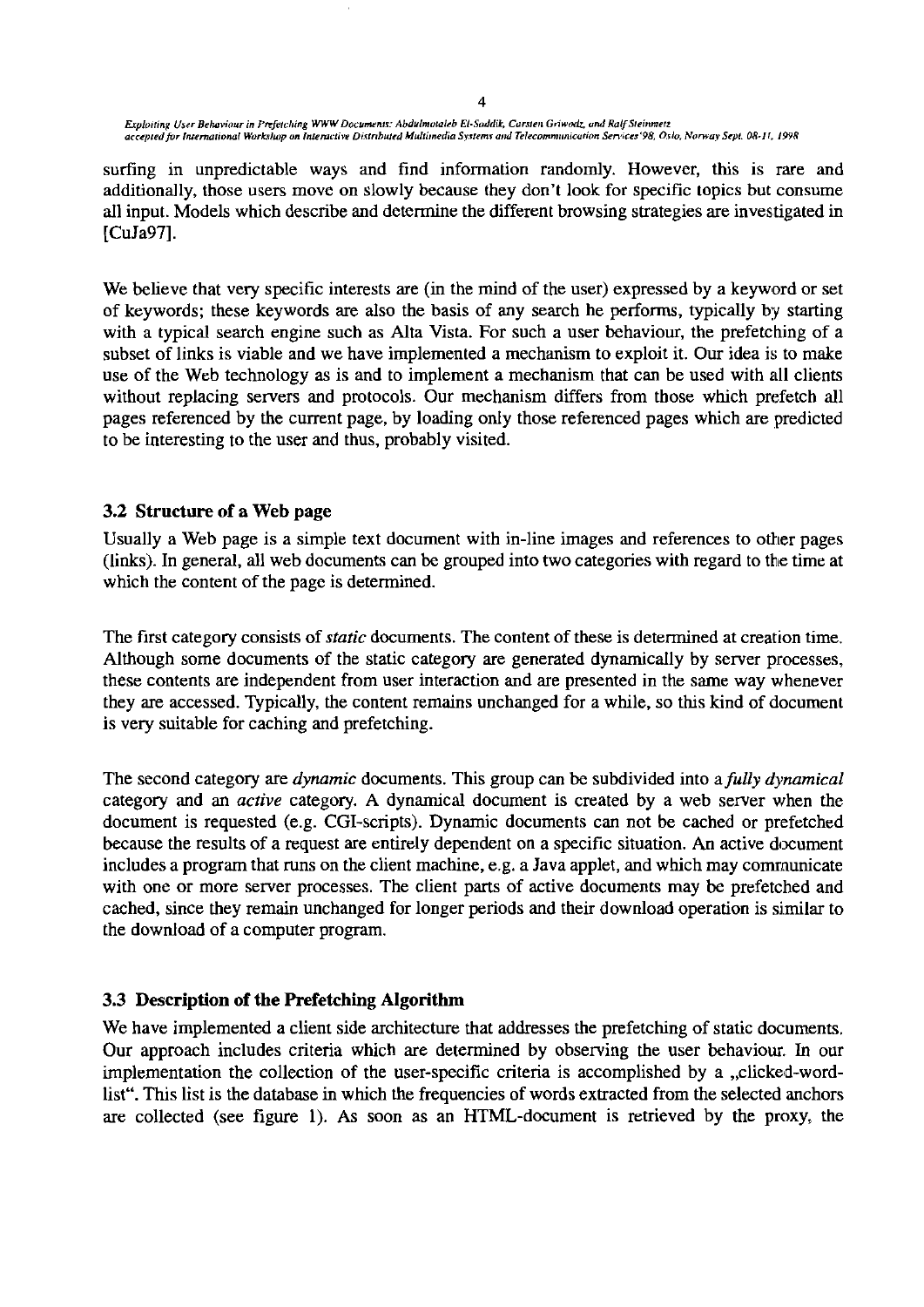surfing in unpredictable ways and find information randomly. However, this is rare and additionally, those users move on slowly because they don't look for specific topics but consume all input. Models which describe and determine the different browsing strategies are investigated in [CuJa97].

We believe that very specific interests are (in the mind of the user) expressed by a keyword or set of keywords; these keywords are also the basis of any search he performs, typically by starting with a typical search engine such as Alta Vista. For such a user behaviour, the prefetching of a subset of links is viable and we have implemented a mechanism to exploit it. Our idea is to make use of the Web technology as is and to implement a mechanism that can be used with all clients without replacing servers and protocols. Our mechanism differs from those which prefetch all pages referenced by the current page, by loading only those referenced pages which are predicted to be interesting to the user and thus, probably visited.

### 3.2 Structure of a Web page

Usually a Web page is a simple text document with in-line images and references to other pages (links). In general, all web documents can be grouped into two categories with regard to the time at which the content of the page is determined.

The first category consists of *static* documents. The content of these is determined at creation time. Although some documents of the static category are generated dynamically by server processes, these contents are independent from user interaction and are presented in the same way whenever they are accessed. Typically, the content remains unchanged for a while, so this kind of document is very suitable for caching and prefetching.

The second category are *dynamic* documents. This group can be subdivided into a fully *dynamical* category and an *active* category. A dynamical document is created by a web server when the document is requested (e.g. CGI-scripts). Dynamic documents can not be cached or prefetched because the results of a request are entirely dependent on a specific situation. An active document includes a program that runs on the client machine, e.g. a Java applet, and which may communicate with one or more server processes. The client parts of active documents may be prefetched and cached, since they remain unchanged for longer periods and their download operation is similar to the download of a computer program.

#### 3.3 Description of the Prefetching Algorithm

We have implemented a client side architecture that addresses the prefetching of static documents. Our approach includes criteria which are determined by observing the user behaviour. In our implementation the collection of the user-specific criteria is accomplished by a "clicked-wordlist". This list is the database in which the frequencies of words extracted from the selected anchors are collected (see figure 1). As soon as an HTML-document is retrieved by the proxy, the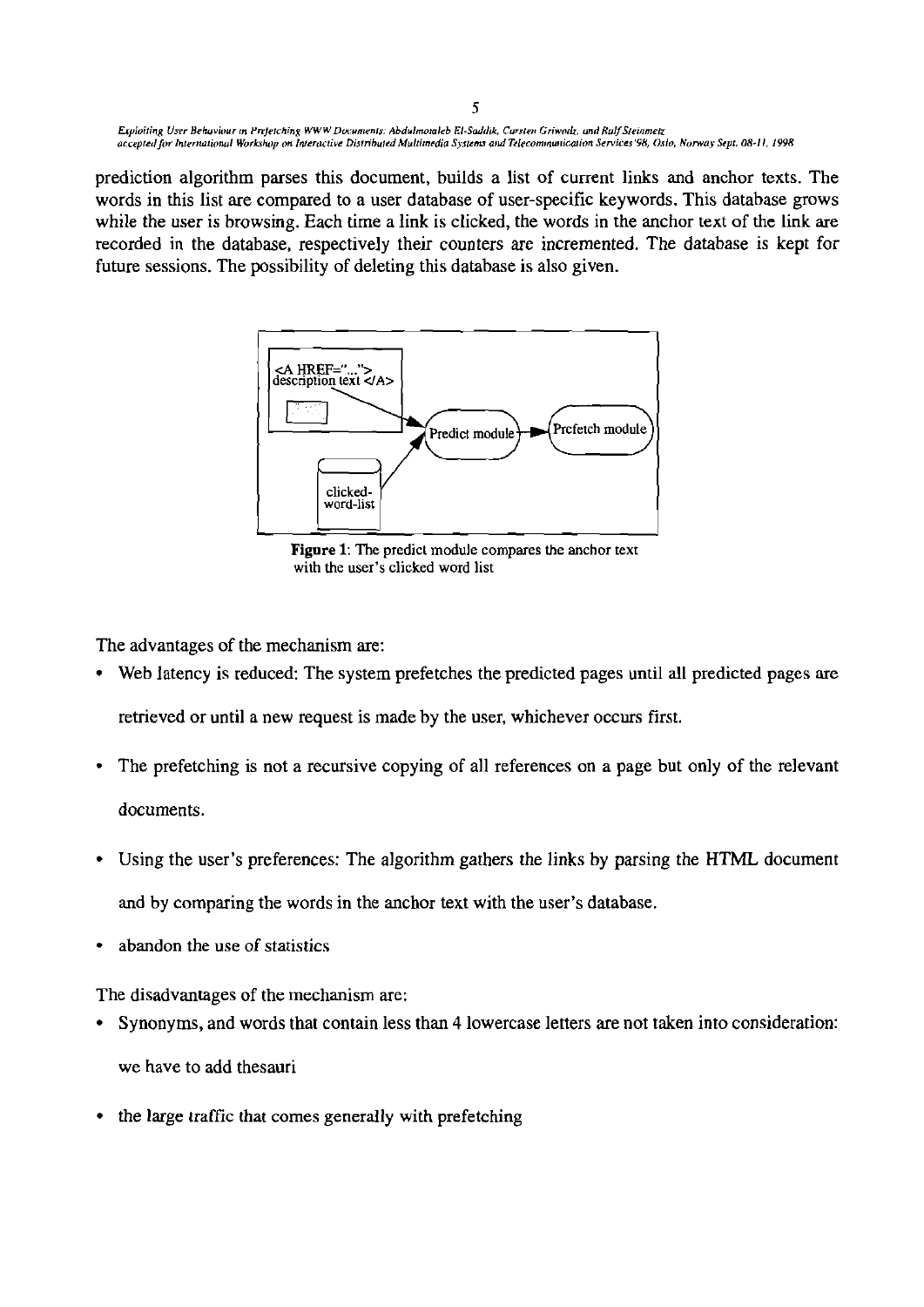Exploiting User Behaviour in Prefetching WWW Documents: Abdulmotaleb El-Saddik, Carsten Griwodz, and Ralf Steinmetz accepted for International Workshop on Interactive Distributed Multimedia Systems and Telecommunication Services 98, Oslo, Norway Sept. 08-11, 1998

prediction algorithm parses this document, builds a list of current links and anchor texts. The words in this list are compared to a user database of user-specific keywords. This database grows while the user is browsing. Each time a link is clicked, the words in the anchor text of the link are recorded in the database, respectively their counters are incremented. The database is kept for future sessions. The possibility of deleting this database is also given.



Figure 1: The predict module compares the anchor text with the user's clicked word list

The advantages of the mechanism are:

- Web latency is reduced: The system prefetches the predicted pages until all predicted pages are retrieved or until a new request is made by the user, whichever occurs first.
- The prefetching is not a recursive copying of all references on a page but only of the relevant documents.
- Using the user's preferences: The algorithm gathers the links by parsing the HTML document and by comparing the words in the anchor text with the user's database.
- abandon the use of statistics

The disadvantages of the mechanism are:

- Synonyms, and words that contain less than 4 lowercase letters are not taken into consideration: we have to add thesauri
- the large traffic that comes generally with prefetching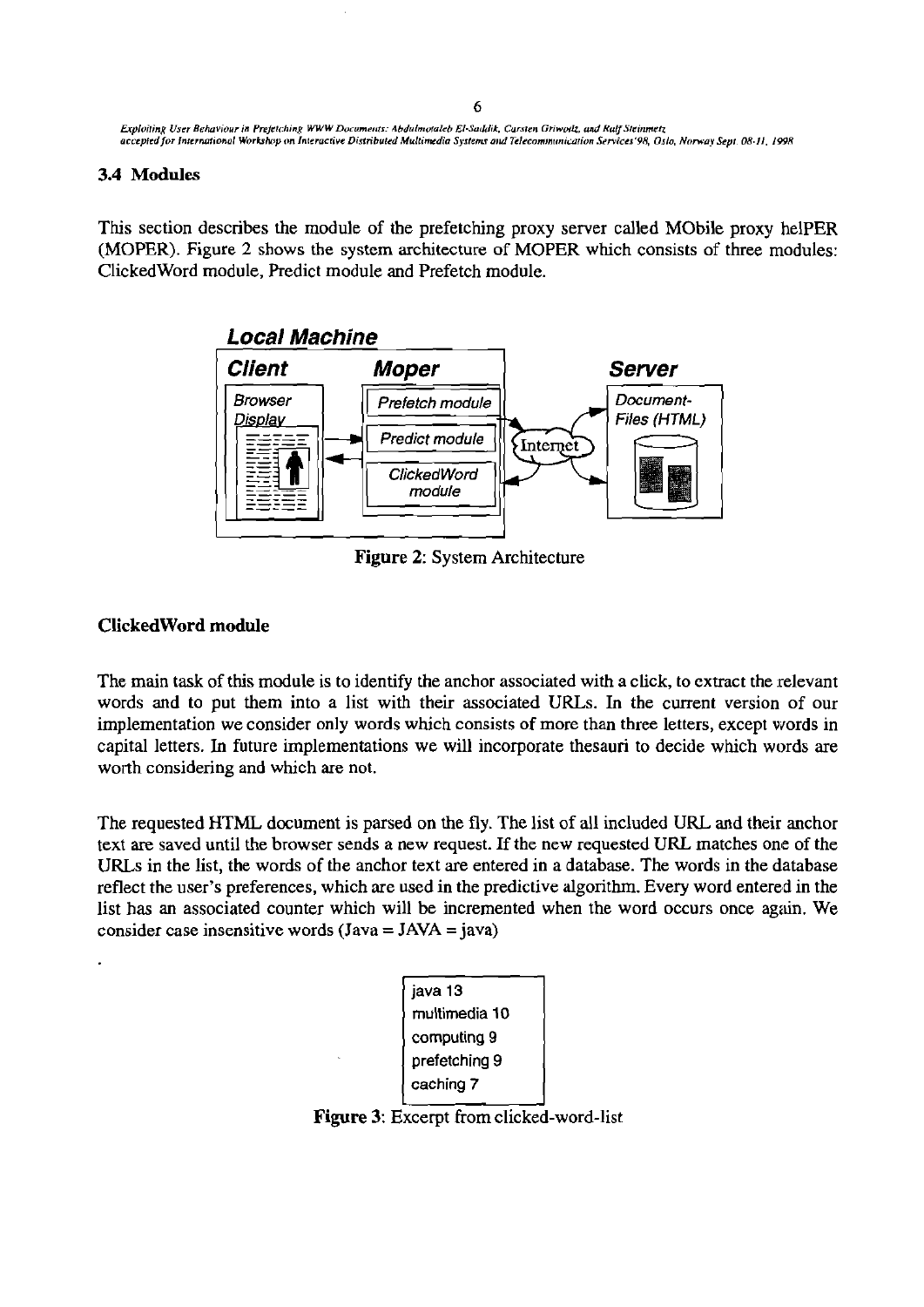#### **3.4 Modules**

This section describes the module of the prefetching proxy server called MObile proxy helpER (MOPER). Figure 2 shows the System architecture of MOPER which consists of three modules: ClickedWord module, Predict module and Prefetch rnodule.



**Figure 2:** System Architecture

### **ClickedWord module**

The main task of this rnodule is to identify the anchor associated with a click, to extract the relevant words and to put them into a list with their associated URLs. In the current version of our implementation we consider only words which consists of more than three letters, except vvords in capital letters. In future implementations we will incorporate thesauri to decide which words are worth considering and which are not.

The requested HTML document is parsed on the fly. The list of all included URL **and** their anchor text **are** saved until the browser sends a new request. If the new requested URL matches onse of the URLs in the list, the words of the anchor text are entered in a database. The words in the database reflect the user's preferences, which are used in the predictive algonthm. Every word entered in the list bas an associated Counter which will be incremented when the word occurs once again. We consider case insensitive words  $(Java = JAVA = java)$ 

| java 13       |  |
|---------------|--|
| multimedia 10 |  |
| computing 9   |  |
| prefetching 9 |  |
| caching 7     |  |

Figure 3: Excerpt from clicked-word-list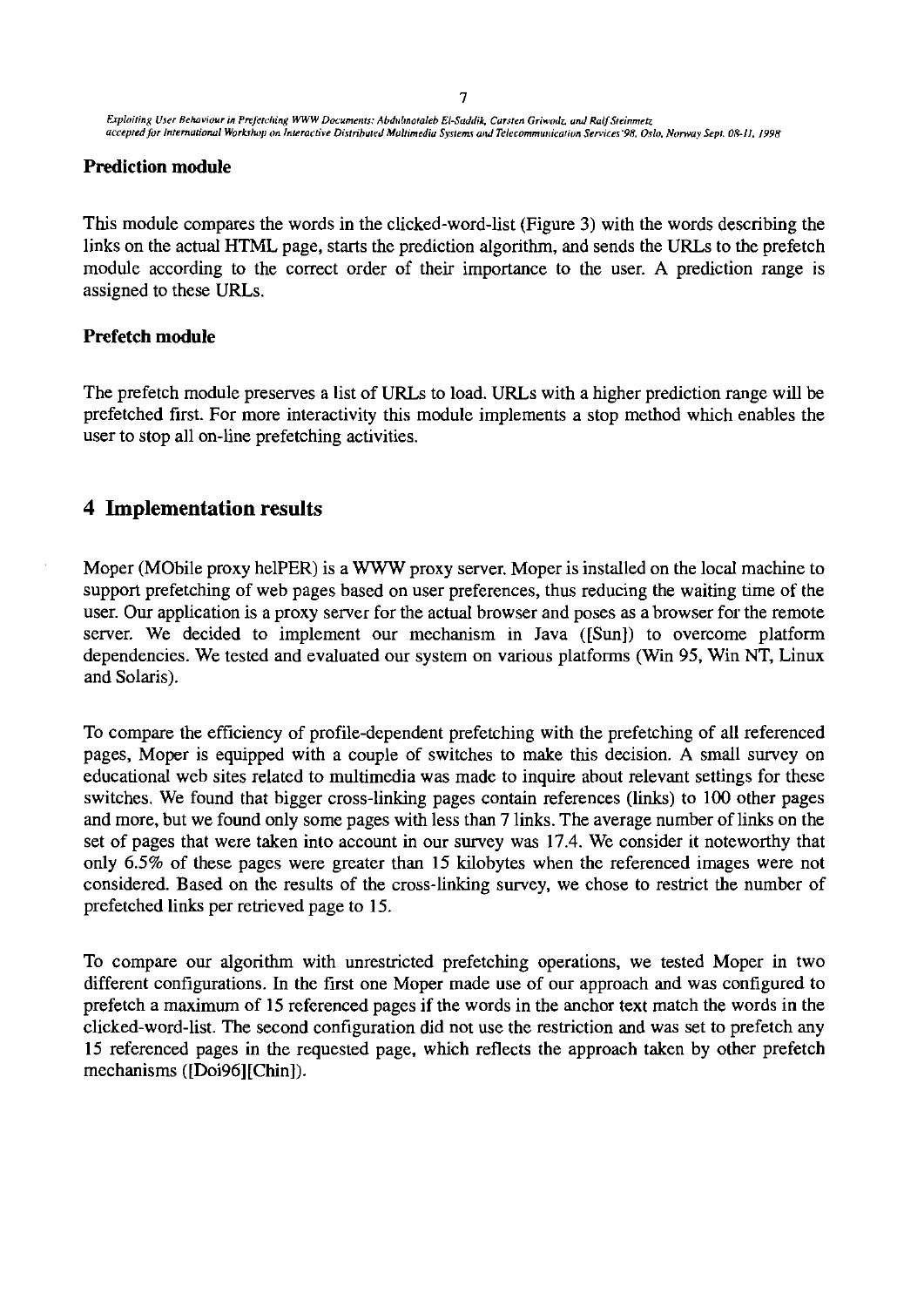#### **Prediction module**

This module compares the words in the clicked-word-list (Figure 3) with the words describing the links on the actual HTML page, starts the prediction algorithm, and sends the URLs to the prefetch module according to the correct order of their importance to the user. A prediction range is assigned to these URLs.

#### **Prefetch module**

The prefetch module preserves a list of URLs to load. URLs with a higher prediction range will be prefetched first. For more interactivity this module implements a stop method which enables the user to stop all on-line prefetching activities.

## **4 Implementation results**

Moper (MObile proxy helPER) is a WWW proxy server. Moper is installed on the local machine to support prefetching of web pages based on user preferences, thus reducing the waiting time of the user. Our application is a proxy server for the actual browser and poses as a browser for the remote server. We decided to implement our mechanism in Java ([Sun]) to overcome platform dependencies. We tested and evaluated our system on various platforms (Win 95, Win NT, Linux and Solaris).

To compare the efficiency of profile-dependent prefetching with the prefetching of all referenced pages, Moper is equipped with a couple of switches to make this decision. A small survey on educational web sites related to multimedia was made to inquire about relevant settings for these switches. We found that bigger cross-linking pages contain references (links) to 100 other pages and more, but we found only some pages with less than 7 links. The average number of links on the set of pages that were taken into account in our survey was 17.4. We consider it noteworthy that only 6.5% of these pages were greater than 15 kilobytes when the referenced images were not considered. Based on the results of the cross-linking survey, we chose to restrict the number of prefetched links per retrieved page to 15.

To compare our algorithm with unrestricted prefetching operations, we tested Moper in two different configurations. In the first one Moper made use of our approach and was configured to prefetch a maximum of 15 referenced pages if the words in the anchor text match the words in the clicked-word-list. The second configuration did not use the restriction and was set to prefetch any 15 referenced pages in the requested page, which reflects the approach taken by other prefetch mechanisms ([Doi96][Chin]).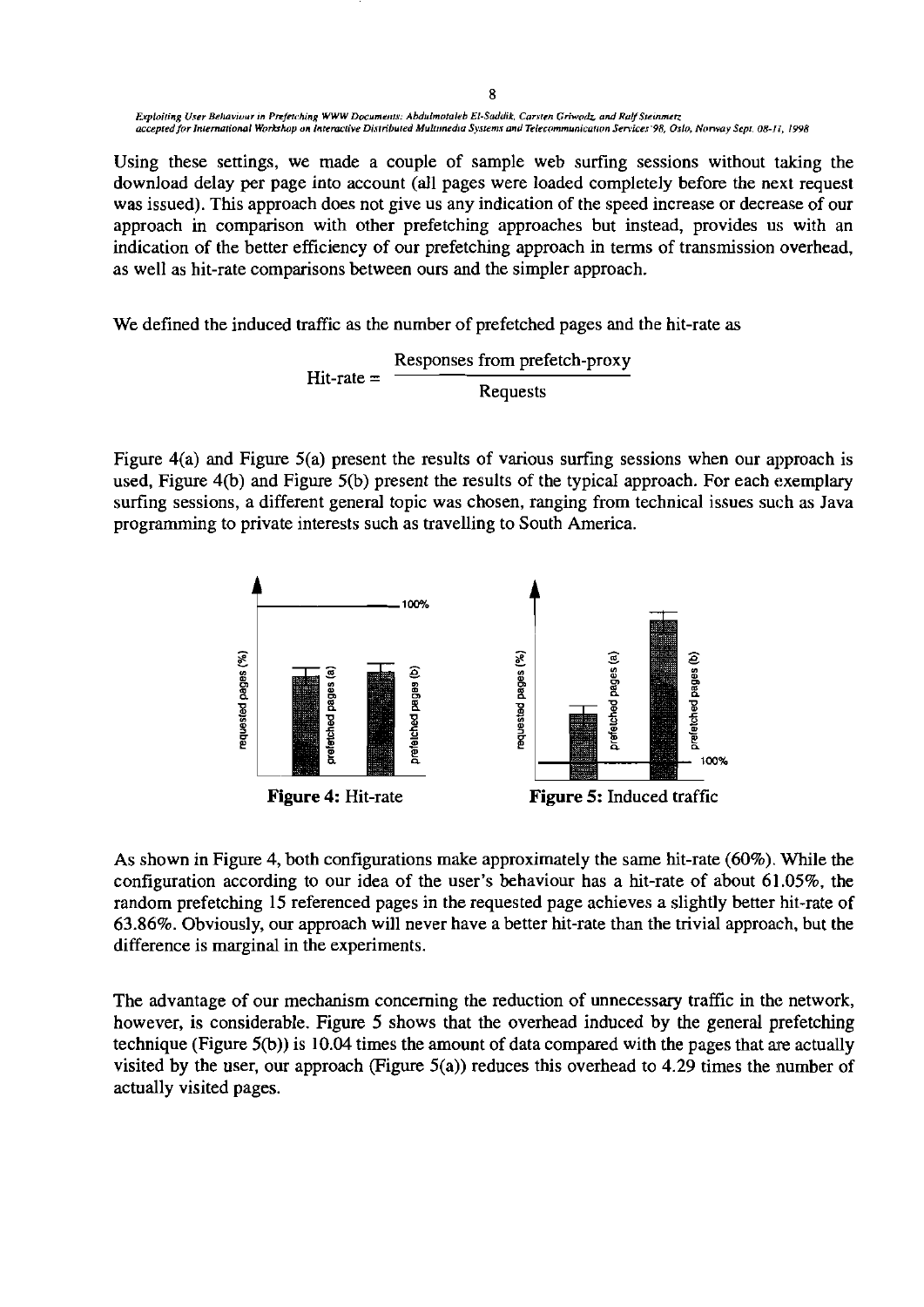Exploiting User Behaviour in Prefetching WWW Documents: Abdulmotaleb El-Saddik, Carsten Griwodz, and Ralf Steinmetz<br>accepted for International Workshop on Interactive Distributed Multimedia Systems and Telecommunication Se

Using these settings, we made a couple of sample web surfing sessions without taking the download delay per page into account (all pages were loaded completely before the next request was issued). This approach does not give us any indication of the speed increase or decrease of our approach in comparison with other prefetching approaches but instead, provides us with an indication of the better efficiency of our prefetching approach in terms of transmission overhead, as well as hit-rate comparisons between ours and the simpler approach.

We defined the induced traffic as the number of prefetched pages and the hit-rate as

Responses from prefetch-proxy  $Hit-rate =$ **Requests** 

Figure  $4(a)$  and Figure  $5(a)$  present the results of various surfing sessions when our approach is used, Figure 4(b) and Figure 5(b) present the results of the typical approach. For each exemplary surfing sessions, a different general topic was chosen, ranging from technical issues such as Java programming to private interests such as travelling to South America.



As shown in Figure 4, both configurations make approximately the same hit-rate  $(60\%)$ . While the configuration according to our idea of the user's behaviour has a hit-rate of about 61.05%, the random prefetching 15 referenced pages in the requested page achieves a slightly better hit-rate of 63.86%. Obviously, our approach will never have a better hit-rate than the trivial approach, but the difference is marginal in the experiments.

The advantage of our mechanism concerning the reduction of unnecessary traffic in the network, however, is considerable. Figure 5 shows that the overhead induced by the general prefetching technique (Figure  $5(b)$ ) is 10.04 times the amount of data compared with the pages that are actually visited by the user, our approach (Figure  $5(a)$ ) reduces this overhead to 4.29 times the number of actually visited pages.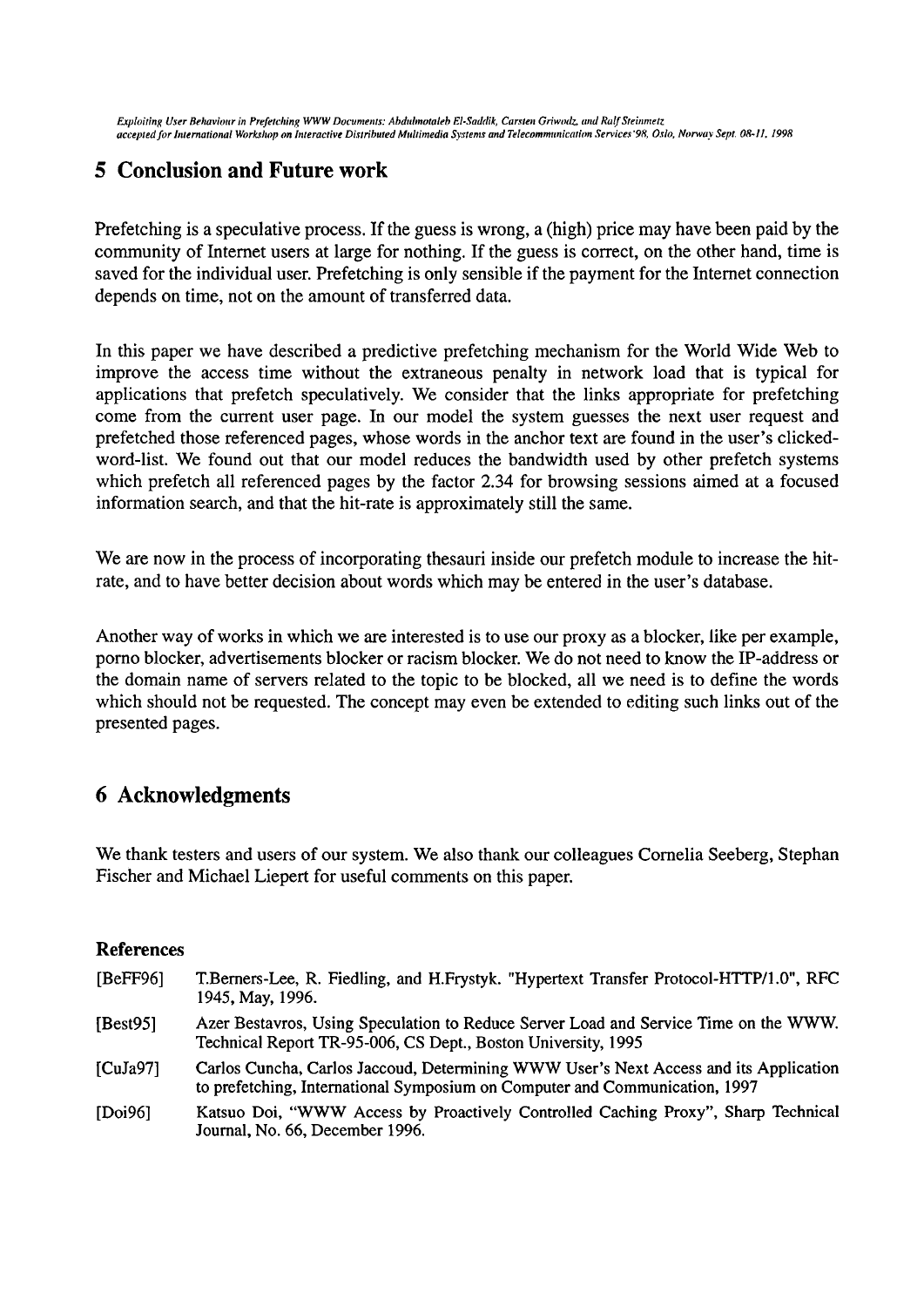## **5 Conclusion and Future work**

Prefetching is a speculative process. If the guess is wrong, a (high) price may have been paid by the community of Intemet users at large for nothing. If the guess is correct, on the other hand, time is saved for the individual user. Prefetching is only sensible if the payment for the Internet connection depends on time, not on the amount of transferred data.

In this paper we have described a predictive prefetching mechanism for the World Wide Web to improve the access time without the extraneous penalty in network load that is typical for applications that prefetch speculatively. We consider that the links appropriate for prefetching come from the current user page. In our model the system guesses the next user request and prefetched those referenced pages, whose words in the anchor text are found in the user's clickedword-list. We found out that our model reduces the bandwidth used by other prefetch systems which prefetch all referenced pages by the factor 2.34 for browsing sessions aimed at a focused information search, and that the hit-rate is approximately still the Same.

We are now in the process of incorporating thesauri inside our prefetch module to increase the hitrate, and to have better decision about words which may be entered in the user's database.

Another way of works in which we are interested is to use our proxy as a blocker, like per example, porno blocker, advertisements blocker or racism blocker. We do not need to know the IP-address or the domain name of Servers related to the topic to be blocked, all we need is to define the words which should not be requested. The concept may even be extended to editing such links out of the presented pages.

## **6 Acknowledgments**

We thank testers and users of our system. We also thank our colleagues Cornelia Seeberg, Stephan Fischer and Michael Liepert for useful comments on this paper.

## **References**

| [BEF96]                       | T.Berners-Lee, R. Fiedling, and H.Frystyk. "Hypertext Transfer Protocol-HTTP/1.0", RFC<br>1945, May, 1996.                                                           |
|-------------------------------|----------------------------------------------------------------------------------------------------------------------------------------------------------------------|
| [Best95]                      | Azer Bestavros, Using Speculation to Reduce Server Load and Service Time on the WWW.<br>Technical Report TR-95-006, CS Dept., Boston University, 1995                |
| $\lceil \text{CuJa97} \rceil$ | Carlos Cuncha, Carlos Jaccoud, Determining WWW User's Next Access and its Application<br>to prefetching, International Symposium on Computer and Communication, 1997 |
| [Doi96]                       | Katsuo Doi, "WWW Access by Proactively Controlled Caching Proxy", Sharp Technical<br>Journal, No. 66, December 1996.                                                 |